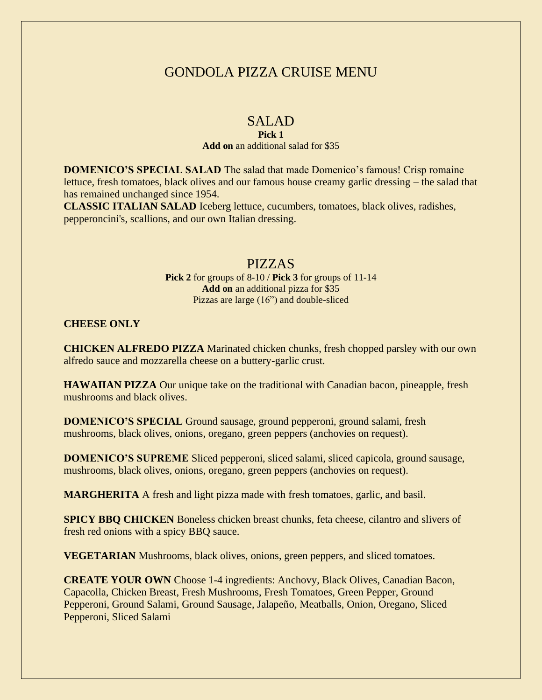# GONDOLA PIZZA CRUISE MENU

### SALAD

#### **Pick 1**

#### **Add on** an additional salad for \$35

**DOMENICO'S SPECIAL SALAD** The salad that made Domenico's famous! Crisp romaine lettuce, fresh tomatoes, black olives and our famous house creamy garlic dressing – the salad that has remained unchanged since 1954.

**CLASSIC ITALIAN SALAD** Iceberg lettuce, cucumbers, tomatoes, black olives, radishes, pepperoncini's, scallions, and our own Italian dressing.

### PIZZAS

**Pick 2** for groups of 8-10 / **Pick 3** for groups of 11-14 **Add on** an additional pizza for \$35 Pizzas are large (16") and double-sliced

#### **CHEESE ONLY**

**CHICKEN ALFREDO PIZZA** Marinated chicken chunks, fresh chopped parsley with our own alfredo sauce and mozzarella cheese on a buttery-garlic crust.

**HAWAIIAN PIZZA** Our unique take on the traditional with Canadian bacon, pineapple, fresh mushrooms and black olives.

**DOMENICO'S SPECIAL** Ground sausage, ground pepperoni, ground salami, fresh mushrooms, black olives, onions, oregano, green peppers (anchovies on request).

**DOMENICO'S SUPREME** Sliced pepperoni, sliced salami, sliced capicola, ground sausage, mushrooms, black olives, onions, oregano, green peppers (anchovies on request).

**MARGHERITA** A fresh and light pizza made with fresh tomatoes, garlic, and basil.

**SPICY BBQ CHICKEN** Boneless chicken breast chunks, feta cheese, cilantro and slivers of fresh red onions with a spicy BBQ sauce.

**VEGETARIAN** Mushrooms, black olives, onions, green peppers, and sliced tomatoes.

**CREATE YOUR OWN** Choose 1-4 ingredients: Anchovy, Black Olives, Canadian Bacon, Capacolla, Chicken Breast, Fresh Mushrooms, Fresh Tomatoes, Green Pepper, Ground Pepperoni, Ground Salami, Ground Sausage, Jalapeño, Meatballs, Onion, Oregano, Sliced Pepperoni, Sliced Salami